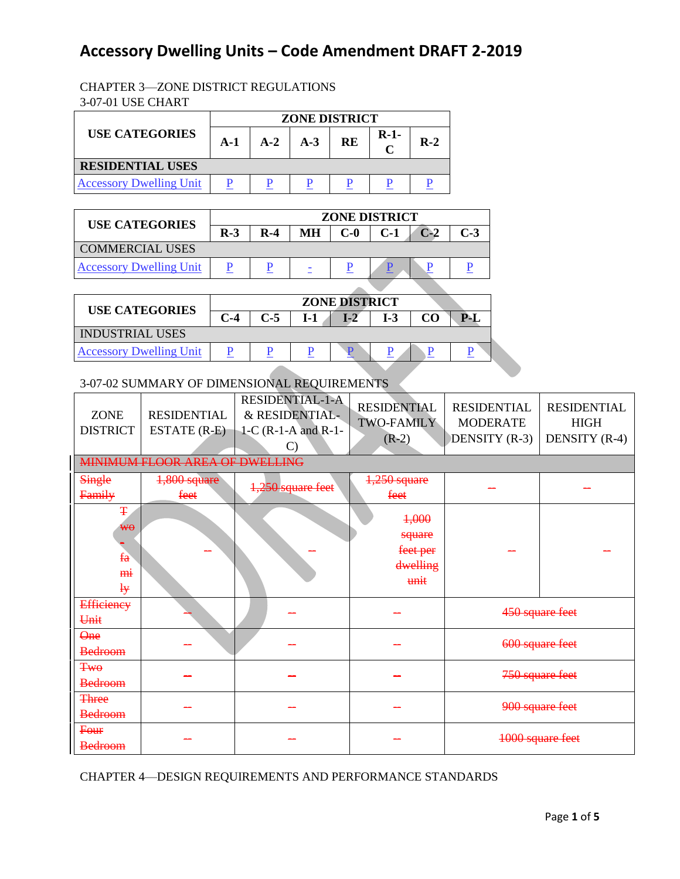#### CHAPTER 3—ZONE DISTRICT REGULATIONS 3-07-01 USE CHART

|                                | <b>ZONE DISTRICT</b> |       |       |           |        |       |  |  |
|--------------------------------|----------------------|-------|-------|-----------|--------|-------|--|--|
| <b>USE CATEGORIES</b>          | $A-1$                | $A-2$ | $A-3$ | <b>RE</b> | $R-1-$ | $R-2$ |  |  |
| <b>RESIDENTIAL USES</b>        |                      |       |       |           |        |       |  |  |
| <b>Accessory Dwelling Unit</b> |                      |       |       |           |        |       |  |  |

| <b>USE CATEGORIES</b>          | <b>ZONE DISTRICT</b> |       |           |       |       |                 |       |
|--------------------------------|----------------------|-------|-----------|-------|-------|-----------------|-------|
|                                | $R-3$                | $R-4$ | <b>MH</b> | $C-0$ | $C-1$ | $\mathbf{C}$ -2 | $C-3$ |
| <b>COMMERCIAL USES</b>         |                      |       |           |       |       |                 |       |
| <b>Accessory Dwelling Unit</b> |                      |       |           |       |       |                 |       |
|                                |                      |       |           |       |       |                 |       |

| <b>USE CATEGORIES</b>          | <b>ZONE DISTRICT</b> |       |     |  |     |           |     |
|--------------------------------|----------------------|-------|-----|--|-----|-----------|-----|
|                                | C-4                  | $C-5$ | T-1 |  | I-3 | <u>ሮስ</u> | PJ. |
| <b>INDUSTRIAL USES</b>         |                      |       |     |  |     |           |     |
| <b>Accessory Dwelling Unit</b> |                      |       |     |  |     |           |     |

### 3-07-02 SUMMARY OF DIMENSIONAL REQUIREMENTS

| <b>ZONE</b><br><b>DISTRICT</b>                     | <b>RESIDENTIAL</b><br>ESTATE (R-E)<br>MINIMUM FLOOR AREA OF DWELLING | <b>RESIDENTIAL-1-A</b><br>& RESIDENTIAL-<br>1-C $(R-1-A$ and $R-1-$<br>C) | <b>RESIDENTIAL</b><br><b>TWO-FAMILY</b><br>$(R-2)$ | <b>RESIDENTIAL</b><br><b>MODERATE</b><br>DENSITY (R-3) | <b>RESIDENTIAL</b><br><b>HIGH</b><br>DENSITY (R-4) |  |
|----------------------------------------------------|----------------------------------------------------------------------|---------------------------------------------------------------------------|----------------------------------------------------|--------------------------------------------------------|----------------------------------------------------|--|
| Single<br>Family                                   | 1,800 square<br>feet                                                 | 1,250 square feet                                                         | $1,250$ square<br>feet                             |                                                        |                                                    |  |
| Ŧ<br>₩θ<br>$f_a$<br><del>mi</del><br>$\frac{1}{2}$ |                                                                      |                                                                           | 4,000<br>square<br>feet per<br>dwelling<br>unit    |                                                        |                                                    |  |
| <b>Efficiency</b><br>Unit                          |                                                                      |                                                                           |                                                    |                                                        | 450 square feet                                    |  |
| <b>One</b><br><b>Bedroom</b>                       |                                                                      |                                                                           |                                                    |                                                        | 600 square feet                                    |  |
| <b>Two</b><br><b>Bedroom</b>                       |                                                                      |                                                                           |                                                    |                                                        | 750 square feet                                    |  |
| <b>Three</b><br><b>Bedroom</b>                     |                                                                      |                                                                           |                                                    |                                                        | 900 square feet                                    |  |
| Four<br><b>Bedroom</b>                             |                                                                      |                                                                           |                                                    | 1000 square feet                                       |                                                    |  |

CHAPTER 4—DESIGN REQUIREMENTS AND PERFORMANCE STANDARDS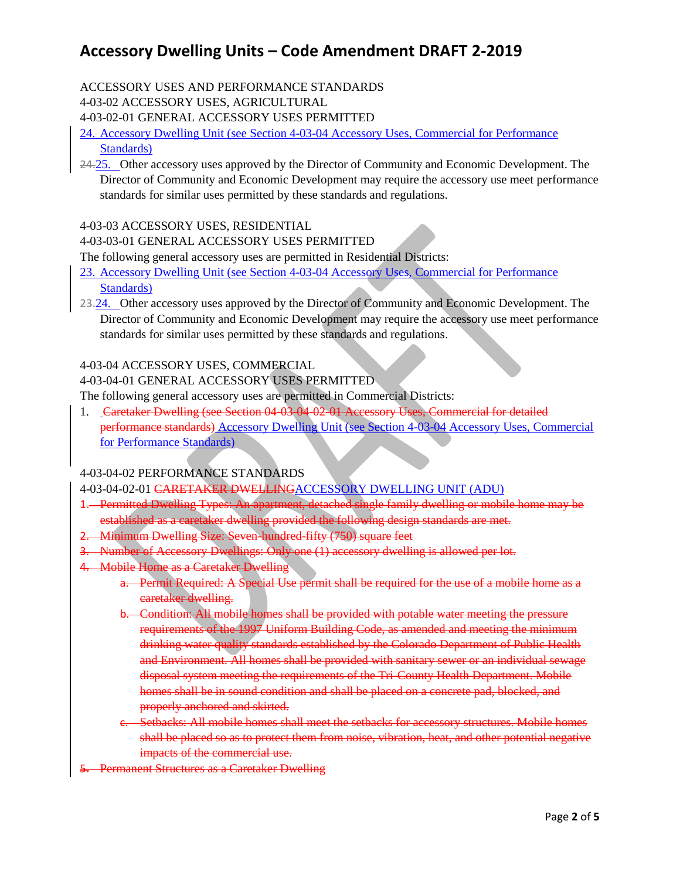#### ACCESSORY USES AND PERFORMANCE STANDARDS

4-03-02 ACCESSORY USES, AGRICULTURAL

4-03-02-01 GENERAL ACCESSORY USES PERMITTED

24. Accessory Dwelling Unit (see Section 4-03-04 Accessory Uses, Commercial for Performance Standards)

24.25. Other accessory uses approved by the Director of Community and Economic Development. The Director of Community and Economic Development may require the accessory use meet performance standards for similar uses permitted by these standards and regulations.

#### 4-03-03 ACCESSORY USES, RESIDENTIAL

#### 4-03-03-01 GENERAL ACCESSORY USES PERMITTED

The following general accessory uses are permitted in Residential Districts:

- 23. Accessory Dwelling Unit (see Section 4-03-04 Accessory Uses, Commercial for Performance Standards)
- 23.24. Other accessory uses approved by the Director of Community and Economic Development. The Director of Community and Economic Development may require the accessory use meet performance standards for similar uses permitted by these standards and regulations.

#### 4-03-04 ACCESSORY USES, COMMERCIAL

#### 4-03-04-01 GENERAL ACCESSORY USES PERMITTED

The following general accessory uses are permitted in Commercial Districts:

1. Caretaker Dwelling (see Section 04-03-04-02-01 Accessory Uses, Commercial for detailed performance standards) Accessory Dwelling Unit (see Section 4-03-04 Accessory Uses, Commercial for Performance Standards)

#### 4-03-04-02 PERFORMANCE STANDARDS

#### 4-03-04-02-01 CARETAKER DWELLINGACCESSORY DWELLING UNIT (ADU)

- 1. Permitted Dwelling Types: An apartment, detached single family dwelling or mobile home may be established as a caretaker dwelling provided the following design standards are met.
- 2. Minimum Dwelling Size: Seven-hundred-fifty (750) square feet
- 3. Number of Accessory Dwellings: Only one (1) accessory dwelling is allowed per lot.
- 4. Mobile Home as a Caretaker Dwelling
	- a. Permit Required: A Special Use permit shall be required for the use of a mobile home as a caretaker dwelling.
	- b. Condition: All mobile homes shall be provided with potable water meeting the pressure requirements of the 1997 Uniform Building Code, as amended and meeting the minimum drinking water quality standards established by the Colorado Department of Public Health and Environment. All homes shall be provided with sanitary sewer or an individual sewage disposal system meeting the requirements of the Tri-County Health Department. Mobile homes shall be in sound condition and shall be placed on a concrete pad, blocked, and properly anchored and skirted.
	- c. Setbacks: All mobile homes shall meet the setbacks for accessory structures. Mobile homes shall be placed so as to protect them from noise, vibration, heat, and other potential negative impacts of the commercial use.
- Permanent Structures as a Caretaker Dwelling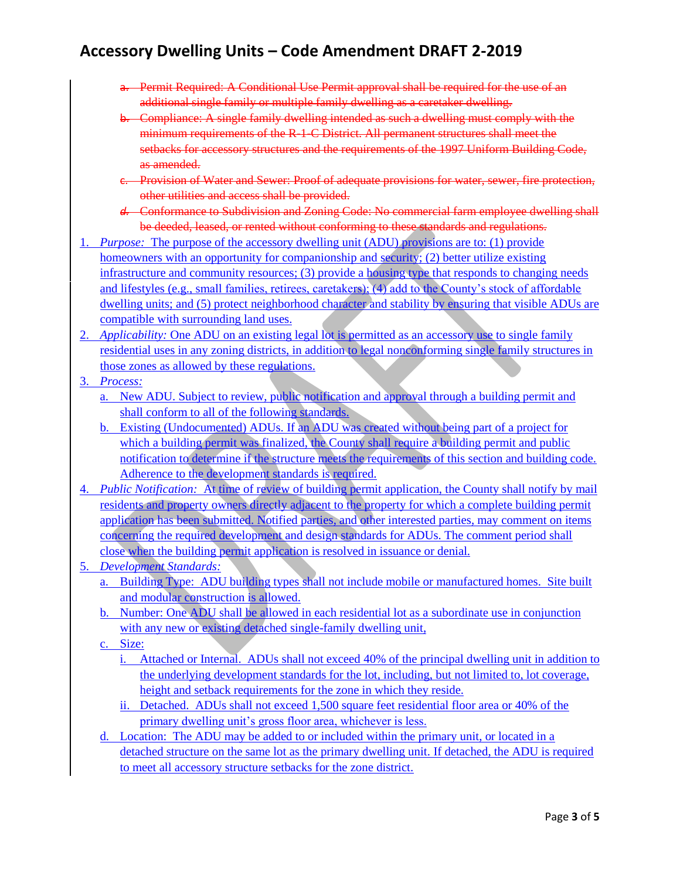- a. Permit Required: A Conditional Use Permit approval shall be required for the use of an additional single family or multiple family dwelling as a caretaker dwelling.
- b. Compliance: A single family dwelling intended as such a dwelling must comply with the minimum requirements of the R-1-C District. All permanent structures shall meet the setbacks for accessory structures and the requirements of the 1997 Uniform Building Code, as amended.
- c. Provision of Water and Sewer: Proof of adequate provisions for water, sewer, fire protection, other utilities and access shall be provided.
- *d.* Conformance to Subdivision and Zoning Code: No commercial farm employee dwelling shall be deeded, leased, or rented without conforming to these standards and regulations.
- 1. *Purpose:* The purpose of the accessory dwelling unit (ADU) provisions are to: (1) provide homeowners with an opportunity for companionship and security; (2) better utilize existing infrastructure and community resources; (3) provide a housing type that responds to changing needs and lifestyles (e.g., small families, retirees, caretakers); (4) add to the County's stock of affordable dwelling units; and (5) protect neighborhood character and stability by ensuring that visible ADUs are compatible with surrounding land uses.
- 2. *Applicability:* One ADU on an existing legal lot is permitted as an accessory use to single family residential uses in any zoning districts, in addition to legal nonconforming single family structures in those zones as allowed by these regulations.
- 3. *Process:*
	- a. New ADU. Subject to review, public notification and approval through a building permit and shall conform to all of the following standards.
	- b. Existing (Undocumented) ADUs. If an ADU was created without being part of a project for which a building permit was finalized, the County shall require a building permit and public notification to determine if the structure meets the requirements of this section and building code. Adherence to the development standards is required.
- 4. *Public Notification:* At time of review of building permit application, the County shall notify by mail residents and property owners directly adjacent to the property for which a complete building permit application has been submitted. Notified parties, and other interested parties, may comment on items concerning the required development and design standards for ADUs. The comment period shall close when the building permit application is resolved in issuance or denial.
- 5. *Development Standards:*
	- a. Building Type: ADU building types shall not include mobile or manufactured homes. Site built and modular construction is allowed.
	- b. Number: One ADU shall be allowed in each residential lot as a subordinate use in conjunction with any new or existing detached single-family dwelling unit,
	- c. Size:
		- i. Attached or Internal. ADUs shall not exceed 40% of the principal dwelling unit in addition to the underlying development standards for the lot, including, but not limited to, lot coverage, height and setback requirements for the zone in which they reside.
		- ii. Detached. ADUs shall not exceed 1,500 square feet residential floor area or 40% of the primary dwelling unit's gross floor area, whichever is less.
	- d. Location: The ADU may be added to or included within the primary unit, or located in a detached structure on the same lot as the primary dwelling unit. If detached, the ADU is required to meet all accessory structure setbacks for the zone district.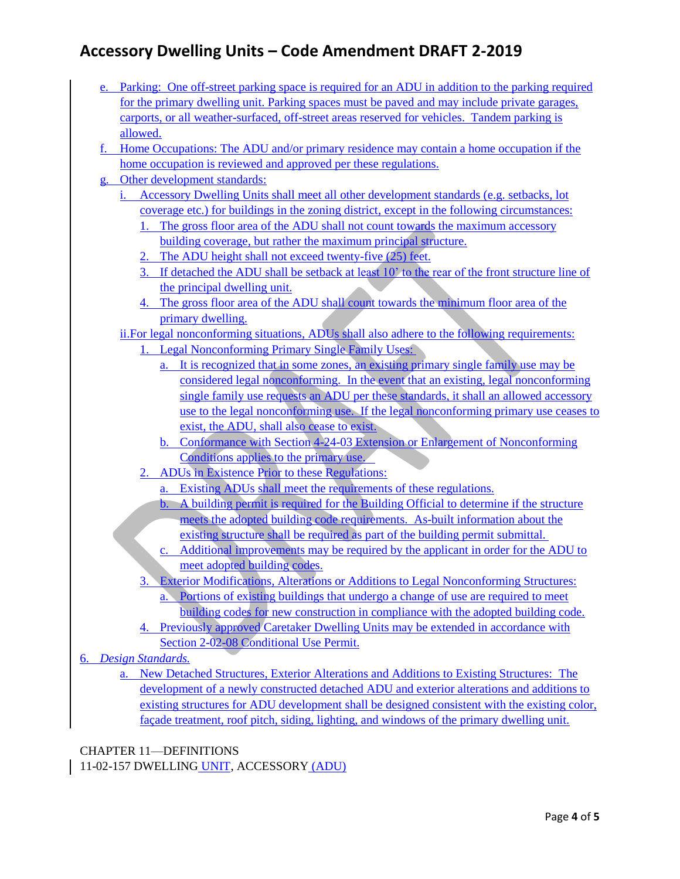- e. Parking: One off-street parking space is required for an ADU in addition to the parking required for the primary dwelling unit. Parking spaces must be paved and may include private garages, carports, or all weather-surfaced, off-street areas reserved for vehicles. Tandem parking is allowed.
- f. Home Occupations: The ADU and/or primary residence may contain a home occupation if the home occupation is reviewed and approved per these regulations.
- g. Other development standards:
	- i. Accessory Dwelling Units shall meet all other development standards (e.g. setbacks, lot coverage etc.) for buildings in the zoning district, except in the following circumstances:
		- 1. The gross floor area of the ADU shall not count towards the maximum accessory building coverage, but rather the maximum principal structure.
		- 2. The ADU height shall not exceed twenty-five (25) feet.
		- 3. If detached the ADU shall be setback at least 10' to the rear of the front structure line of the principal dwelling unit.
		- 4. The gross floor area of the ADU shall count towards the minimum floor area of the primary dwelling.

#### ii.For legal nonconforming situations, ADUs shall also adhere to the following requirements:

- 1. Legal Nonconforming Primary Single Family Uses:
	- a. It is recognized that in some zones, an existing primary single family use may be considered legal nonconforming. In the event that an existing, legal nonconforming single family use requests an ADU per these standards, it shall an allowed accessory use to the legal nonconforming use. If the legal nonconforming primary use ceases to exist, the ADU, shall also cease to exist.
	- b. Conformance with Section 4-24-03 Extension or Enlargement of Nonconforming Conditions applies to the primary use.
- 2. ADUs in Existence Prior to these Regulations:
	- a. Existing ADUs shall meet the requirements of these regulations.
	- b. A building permit is required for the Building Official to determine if the structure meets the adopted building code requirements. As-built information about the existing structure shall be required as part of the building permit submittal.
	- c. Additional improvements may be required by the applicant in order for the ADU to meet adopted building codes.
- 3. Exterior Modifications, Alterations or Additions to Legal Nonconforming Structures: a. Portions of existing buildings that undergo a change of use are required to meet building codes for new construction in compliance with the adopted building code.
- 4. Previously approved Caretaker Dwelling Units may be extended in accordance with Section 2-02-08 Conditional Use Permit.
- 6. *Design Standards.*
	- a. New Detached Structures, Exterior Alterations and Additions to Existing Structures:The development of a newly constructed detached ADU and exterior alterations and additions to existing structures for ADU development shall be designed consistent with the existing color, façade treatment, roof pitch, siding, lighting, and windows of the primary dwelling unit.

CHAPTER 11—DEFINITIONS

11-02-157 DWELLING UNIT, ACCESSORY (ADU)